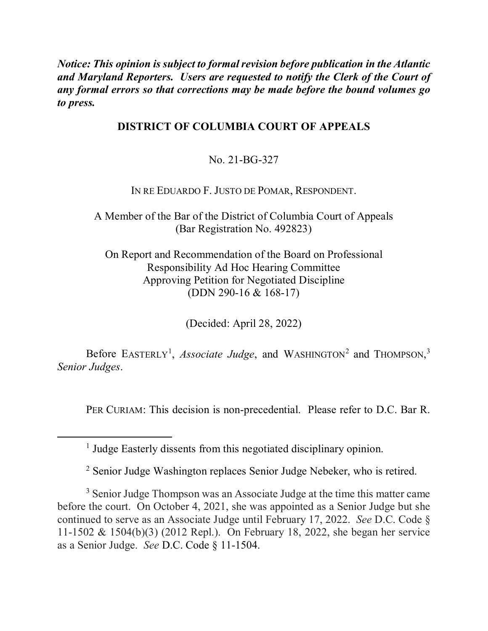*Notice: This opinion is subject to formal revision before publication in the Atlantic and Maryland Reporters. Users are requested to notify the Clerk of the Court of any formal errors so that corrections may be made before the bound volumes go to press.* 

## **DISTRICT OF COLUMBIA COURT OF APPEALS**

No. 21-BG-327

IN RE EDUARDO F. JUSTO DE POMAR, RESPONDENT.

A Member of the Bar of the District of Columbia Court of Appeals (Bar Registration No. 492823)

On Report and Recommendation of the Board on Professional Responsibility Ad Hoc Hearing Committee Approving Petition for Negotiated Discipline (DDN 290-16 & 168-17)

(Decided: April 28, 2022)

Before EASTERLY<sup>[1](#page-0-0)</sup>, *Associate Judge*, and WASHINGTON<sup>[2](#page-0-1)</sup> and THOMPSON,<sup>[3](#page-0-2)</sup> *Senior Judges*.

PER CURIAM: This decision is non-precedential. Please refer to D.C. Bar R.

<sup>2</sup> Senior Judge Washington replaces Senior Judge Nebeker, who is retired.

<span id="page-0-2"></span><span id="page-0-1"></span><span id="page-0-0"></span><sup>3</sup> Senior Judge Thompson was an Associate Judge at the time this matter came before the court. On October 4, 2021, she was appointed as a Senior Judge but she continued to serve as an Associate Judge until February 17, 2022. *See* D.C. Code § 11-1502 & 1504(b)(3) (2012 Repl.). On February 18, 2022, she began her service as a Senior Judge. *See* D.C. Code § 11-1504.

<sup>&</sup>lt;sup>1</sup> Judge Easterly dissents from this negotiated disciplinary opinion.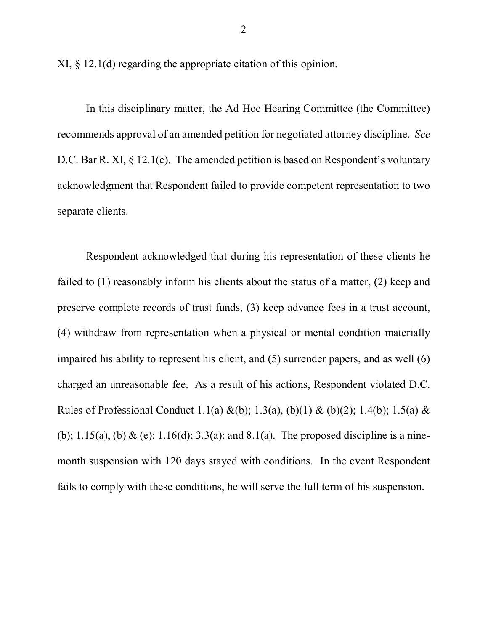XI, § 12.1(d) regarding the appropriate citation of this opinion.

In this disciplinary matter, the Ad Hoc Hearing Committee (the Committee) recommends approval of an amended petition for negotiated attorney discipline. *See* D.C. Bar R. XI, § 12.1(c). The amended petition is based on Respondent's voluntary acknowledgment that Respondent failed to provide competent representation to two separate clients.

Respondent acknowledged that during his representation of these clients he failed to (1) reasonably inform his clients about the status of a matter, (2) keep and preserve complete records of trust funds, (3) keep advance fees in a trust account, (4) withdraw from representation when a physical or mental condition materially impaired his ability to represent his client, and (5) surrender papers, and as well (6) charged an unreasonable fee. As a result of his actions, Respondent violated D.C. Rules of Professional Conduct 1.1(a) &(b); 1.3(a), (b)(1) & (b)(2); 1.4(b); 1.5(a) & (b);  $1.15(a)$ , (b) & (e);  $1.16(d)$ ;  $3.3(a)$ ; and  $8.1(a)$ . The proposed discipline is a ninemonth suspension with 120 days stayed with conditions. In the event Respondent fails to comply with these conditions, he will serve the full term of his suspension.